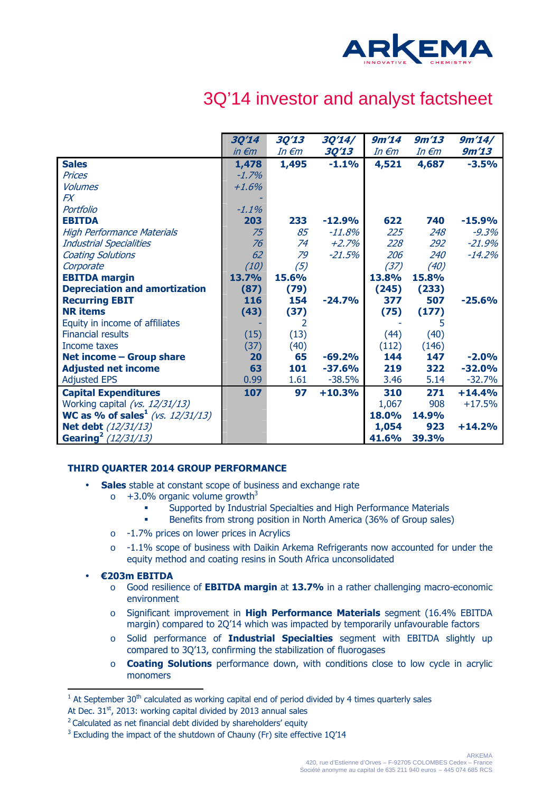

# 3Q'14 investor and analyst factsheet

|                                          | <b>3Q'14</b>        | 3Q'13           | 3Q'14/       | 9m'14           | 9m'13           | 9m'14/   |
|------------------------------------------|---------------------|-----------------|--------------|-----------------|-----------------|----------|
|                                          | $in \in \mathbb{m}$ | In $\epsilon$ m | <b>3Q'13</b> | In $\epsilon$ m | In $\epsilon$ m | 9m'13    |
| <b>Sales</b>                             | 1,478               | 1,495           | $-1.1%$      | 4,521           | 4,687           | $-3.5%$  |
| <b>Prices</b>                            | $-1.7%$             |                 |              |                 |                 |          |
| <b>Volumes</b>                           | $+1.6%$             |                 |              |                 |                 |          |
| <b>FX</b>                                |                     |                 |              |                 |                 |          |
| Portfolio                                | $-1.1\%$            |                 |              |                 |                 |          |
| <b>EBITDA</b>                            | 203                 | 233             | $-12.9%$     | 622             | 740             | $-15.9%$ |
| <b>High Performance Materials</b>        | 75                  | 85              | $-11.8%$     | 225             | 248             | $-9.3%$  |
| <b>Industrial Specialities</b>           | 76                  | 74              | $+2.7%$      | 228             | 292             | $-21.9%$ |
| <b>Coating Solutions</b>                 | 62                  | 79              | $-21.5%$     | 206             | 240             | $-14.2%$ |
| Corporate                                | (10)                | (5)             |              | (37)            | (40)            |          |
| <b>EBITDA</b> margin                     | 13.7%               | 15.6%           |              | 13.8%           | 15.8%           |          |
| <b>Depreciation and amortization</b>     | (87)                | (79)            |              | (245)           | (233)           |          |
| <b>Recurring EBIT</b>                    | 116                 | 154             | $-24.7%$     | 377             | 507             | $-25.6%$ |
| <b>NR</b> items                          | (43)                | (37)            |              | (75)            | (177)           |          |
| Equity in income of affiliates           |                     | 2               |              |                 | 5               |          |
| <b>Financial results</b>                 | (15)                | (13)            |              | (44)            | (40)            |          |
| Income taxes                             | (37)                | (40)            |              | (112)           | (146)           |          |
| <b>Net income - Group share</b>          | 20                  | 65              | $-69.2%$     | 144             | 147             | $-2.0%$  |
| <b>Adjusted net income</b>               | 63                  | 101             | $-37.6%$     | 219             | 322             | $-32.0%$ |
| <b>Adjusted EPS</b>                      | 0.99                | 1.61            | $-38.5%$     | 3.46            | 5.14            | $-32.7%$ |
| <b>Capital Expenditures</b>              | 107                 | 97              | $+10.3%$     | 310             | 271             | $+14.4%$ |
| Working capital (vs. 12/31/13)           |                     |                 |              | 1,067           | 908             | $+17.5%$ |
| <b>WC as % of sales</b> $(vs. 12/31/13)$ |                     |                 |              | 18.0%           | 14.9%           |          |
| <b>Net debt</b> (12/31/13)               |                     |                 |              | 1,054           | 923             | $+14.2%$ |
| Gearing <sup>2</sup> (12/31/13)          |                     |                 |              | 41.6%           | 39.3%           |          |

## **THIRD QUARTER 2014 GROUP PERFORMANCE**

- **Sales** stable at constant scope of business and exchange rate
	- $\circ$  +3.0% organic volume growth<sup>3</sup>
		- Supported by Industrial Specialties and High Performance Materials
		- Benefits from strong position in North America (36% of Group sales)
	- o -1.7% prices on lower prices in Acrylics
	- o -1.1% scope of business with Daikin Arkema Refrigerants now accounted for under the equity method and coating resins in South Africa unconsolidated
- **€203m EBITDA**

 $\overline{a}$ 

- o Good resilience of **EBITDA margin** at **13.7%** in a rather challenging macro-economic environment
- o Significant improvement in **High Performance Materials** segment (16.4% EBITDA margin) compared to 2Q'14 which was impacted by temporarily unfavourable factors
- o Solid performance of **Industrial Specialties** segment with EBITDA slightly up compared to 3Q'13, confirming the stabilization of fluorogases
- o **Coating Solutions** performance down, with conditions close to low cycle in acrylic monomers

 $<sup>1</sup>$  At September 30<sup>th</sup> calculated as working capital end of period divided by 4 times quarterly sales</sup>

At Dec.  $31<sup>st</sup>$ , 2013: working capital divided by 2013 annual sales

<sup>&</sup>lt;sup>2</sup> Calculated as net financial debt divided by shareholders' equity

 $3$  Excluding the impact of the shutdown of Chauny (Fr) site effective  $1Q'14$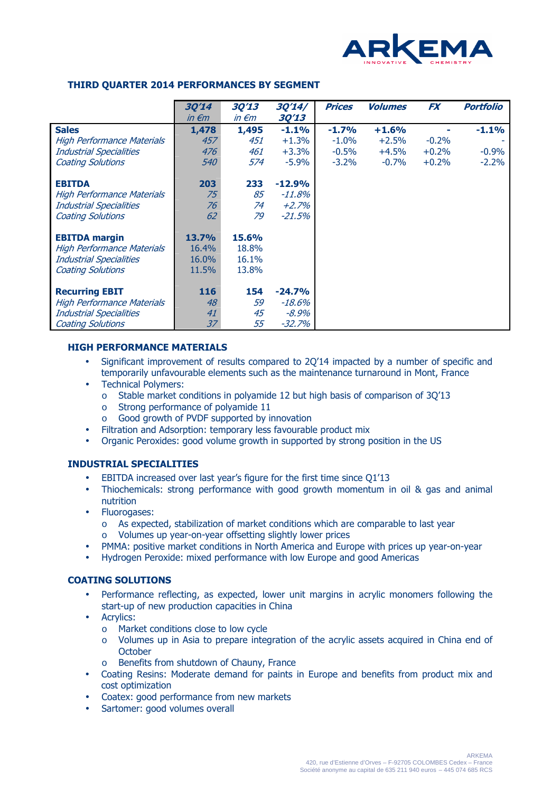

### **THIRD QUARTER 2014 PERFORMANCES BY SEGMENT**

|                                   | <b>3Q'14</b><br>$in \in \mathbb{m}$ | <b>3Q'13</b><br>$in \epsilon$ m | 3Q'14/<br><b>3Q'13</b> | <b>Prices</b> | <b>Volumes</b> | <b>FX</b> | <b>Portfolio</b> |
|-----------------------------------|-------------------------------------|---------------------------------|------------------------|---------------|----------------|-----------|------------------|
| <b>Sales</b>                      | 1,478                               | 1,495                           | $-1.1%$                | $-1.7%$       | $+1.6%$        |           | $-1.1%$          |
| High Performance Materials        | 457                                 | 451                             | $+1.3%$                | $-1.0%$       | $+2.5%$        | $-0.2%$   |                  |
| <b>Industrial Specialities</b>    | 476                                 | 461                             | $+3.3%$                | $-0.5%$       | $+4.5%$        | $+0.2%$   | $-0.9%$          |
| <b>Coating Solutions</b>          | 540                                 | 574                             | $-5.9\%$               | $-3.2\%$      | $-0.7\%$       | $+0.2%$   | $-2.2%$          |
| <b>EBITDA</b>                     | 203                                 | 233                             | $-12.9%$               |               |                |           |                  |
| High Performance Materials        | 75                                  | 85                              | $-11.8%$               |               |                |           |                  |
| <b>Industrial Specialities</b>    | 76                                  | 74                              | $+2.7%$                |               |                |           |                  |
| <b>Coating Solutions</b>          | 62                                  | 79                              | $-21.5%$               |               |                |           |                  |
| <b>EBITDA</b> margin              | <b>13.7%</b>                        | 15.6%                           |                        |               |                |           |                  |
| <b>High Performance Materials</b> | 16.4%                               | 18.8%                           |                        |               |                |           |                  |
| <b>Industrial Specialities</b>    | 16.0%                               | 16.1%                           |                        |               |                |           |                  |
| <b>Coating Solutions</b>          | 11.5%                               | 13.8%                           |                        |               |                |           |                  |
| <b>Recurring EBIT</b>             | 116                                 | 154                             | $-24.7%$               |               |                |           |                  |
| <b>High Performance Materials</b> | 48                                  | 59                              | $-18.6%$               |               |                |           |                  |
| <b>Industrial Specialities</b>    | 41                                  | 45                              | $-8.9\%$               |               |                |           |                  |
| <b>Coating Solutions</b>          | 37                                  | 55                              | $-32.7%$               |               |                |           |                  |

## **HIGH PERFORMANCE MATERIALS**

- Significant improvement of results compared to 2Q'14 impacted by a number of specific and temporarily unfavourable elements such as the maintenance turnaround in Mont, France
- Technical Polymers:
	- o Stable market conditions in polyamide 12 but high basis of comparison of 3Q'13
	- o Strong performance of polyamide 11
	- o Good growth of PVDF supported by innovation
- Filtration and Adsorption: temporary less favourable product mix
- Organic Peroxides: good volume growth in supported by strong position in the US

#### **INDUSTRIAL SPECIALITIES**

- EBITDA increased over last year's figure for the first time since Q1'13
- Thiochemicals: strong performance with good growth momentum in oil & gas and animal nutrition
- Fluorogases:
	- o As expected, stabilization of market conditions which are comparable to last year o Volumes up year-on-year offsetting slightly lower prices
- PMMA: positive market conditions in North America and Europe with prices up year-on-year
- Hydrogen Peroxide: mixed performance with low Europe and good Americas

#### **COATING SOLUTIONS**

- Performance reflecting, as expected, lower unit margins in acrylic monomers following the start-up of new production capacities in China
- Acrylics:
	- o Market conditions close to low cycle
	- o Volumes up in Asia to prepare integration of the acrylic assets acquired in China end of **October**
	- o Benefits from shutdown of Chauny, France
- Coating Resins: Moderate demand for paints in Europe and benefits from product mix and cost optimization
- Coatex: good performance from new markets
- Sartomer: good volumes overall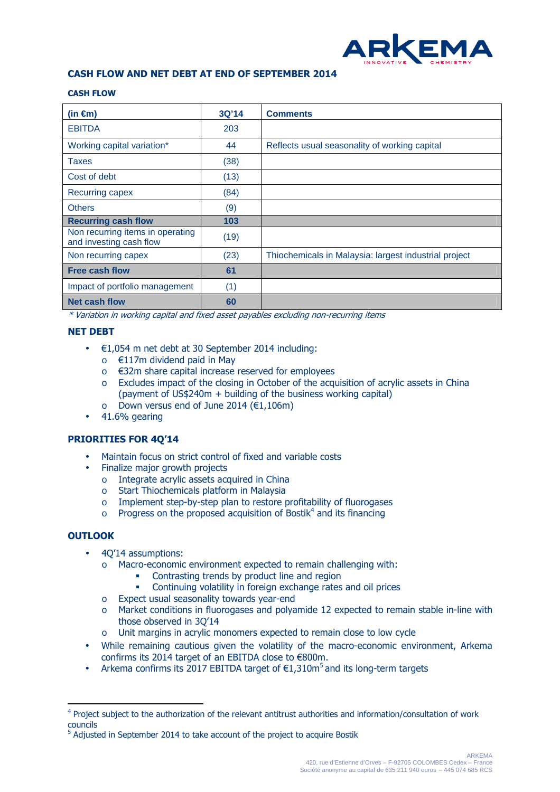

### **CASH FLOW AND NET DEBT AT END OF SEPTEMBER 2014**

#### **CASH FLOW**

| (in $\epsilon$ m)                                           | 3Q'14 | <b>Comments</b>                                       |
|-------------------------------------------------------------|-------|-------------------------------------------------------|
| <b>EBITDA</b>                                               | 203   |                                                       |
| Working capital variation*                                  | 44    | Reflects usual seasonality of working capital         |
| Taxes                                                       | (38)  |                                                       |
| Cost of debt                                                | (13)  |                                                       |
| Recurring capex                                             | (84)  |                                                       |
| <b>Others</b>                                               | (9)   |                                                       |
| <b>Recurring cash flow</b>                                  | 103   |                                                       |
| Non recurring items in operating<br>and investing cash flow | (19)  |                                                       |
| Non recurring capex                                         | (23)  | Thiochemicals in Malaysia: largest industrial project |
| <b>Free cash flow</b>                                       | 61    |                                                       |
| Impact of portfolio management                              | (1)   |                                                       |
| <b>Net cash flow</b>                                        | 60    |                                                       |

\* Variation in working capital and fixed asset payables excluding non-recurring items

#### **NET DEBT**

- $\cdot$   $\in$  1,054 m net debt at 30 September 2014 including:
	- o €117m dividend paid in May
	- o €32m share capital increase reserved for employees
	- o Excludes impact of the closing in October of the acquisition of acrylic assets in China (payment of US\$240m + building of the business working capital)
	- o Down versus end of June 2014 (€1,106m)
- $\bullet$  41.6% gearing

#### **PRIORITIES FOR 4Q'14**

- Maintain focus on strict control of fixed and variable costs
- Finalize major growth projects
	- o Integrate acrylic assets acquired in China
	- o Start Thiochemicals platform in Malaysia
	- o Implement step-by-step plan to restore profitability of fluorogases
	- $\circ$  Progress on the proposed acquisition of Bostik<sup>4</sup> and its financing

#### **OUTLOOK**

 $\overline{a}$ 

- 4Q'14 assumptions:
	- o Macro-economic environment expected to remain challenging with:
		- Contrasting trends by product line and region
		- Continuing volatility in foreign exchange rates and oil prices
	- o Expect usual seasonality towards year-end
	- o Market conditions in fluorogases and polyamide 12 expected to remain stable in-line with those observed in 3Q'14
	- o Unit margins in acrylic monomers expected to remain close to low cycle
- While remaining cautious given the volatility of the macro-economic environment, Arkema confirms its 2014 target of an EBITDA close to €800m.
- Arkema confirms its 2017 EBITDA target of  $\epsilon$ 1,310m<sup>5</sup> and its long-term targets

<sup>&</sup>lt;sup>4</sup> Project subject to the authorization of the relevant antitrust authorities and information/consultation of work councils

<sup>&</sup>lt;sup>5</sup> Adjusted in September 2014 to take account of the project to acquire Bostik